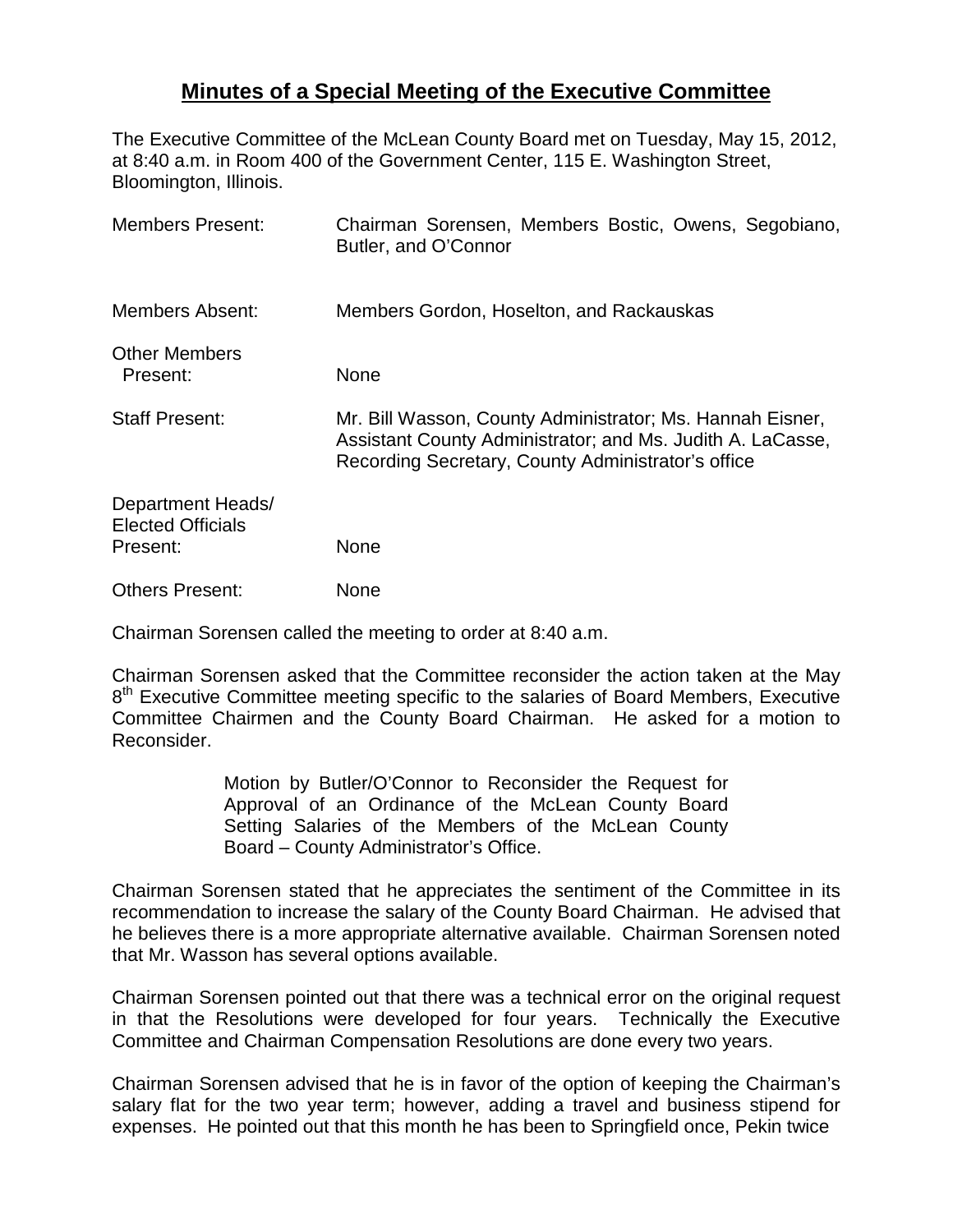## **Minutes of a Special Meeting of the Executive Committee**

The Executive Committee of the McLean County Board met on Tuesday, May 15, 2012, at 8:40 a.m. in Room 400 of the Government Center, 115 E. Washington Street, Bloomington, Illinois.

| <b>Members Present:</b>                                   | Chairman Sorensen, Members Bostic, Owens, Segobiano,<br>Butler, and O'Connor                                                                                                  |
|-----------------------------------------------------------|-------------------------------------------------------------------------------------------------------------------------------------------------------------------------------|
| Members Absent:                                           | Members Gordon, Hoselton, and Rackauskas                                                                                                                                      |
| <b>Other Members</b><br>Present:                          | None                                                                                                                                                                          |
| <b>Staff Present:</b>                                     | Mr. Bill Wasson, County Administrator; Ms. Hannah Eisner,<br>Assistant County Administrator; and Ms. Judith A. LaCasse,<br>Recording Secretary, County Administrator's office |
| Department Heads/<br><b>Elected Officials</b><br>Present: | None                                                                                                                                                                          |
| <b>Others Present:</b>                                    | None                                                                                                                                                                          |

Chairman Sorensen called the meeting to order at 8:40 a.m.

Chairman Sorensen asked that the Committee reconsider the action taken at the May 8<sup>th</sup> Executive Committee meeting specific to the salaries of Board Members, Executive Committee Chairmen and the County Board Chairman. He asked for a motion to Reconsider.

> Motion by Butler/O'Connor to Reconsider the Request for Approval of an Ordinance of the McLean County Board Setting Salaries of the Members of the McLean County Board – County Administrator's Office.

Chairman Sorensen stated that he appreciates the sentiment of the Committee in its recommendation to increase the salary of the County Board Chairman. He advised that he believes there is a more appropriate alternative available. Chairman Sorensen noted that Mr. Wasson has several options available.

Chairman Sorensen pointed out that there was a technical error on the original request in that the Resolutions were developed for four years. Technically the Executive Committee and Chairman Compensation Resolutions are done every two years.

Chairman Sorensen advised that he is in favor of the option of keeping the Chairman's salary flat for the two year term; however, adding a travel and business stipend for expenses. He pointed out that this month he has been to Springfield once, Pekin twice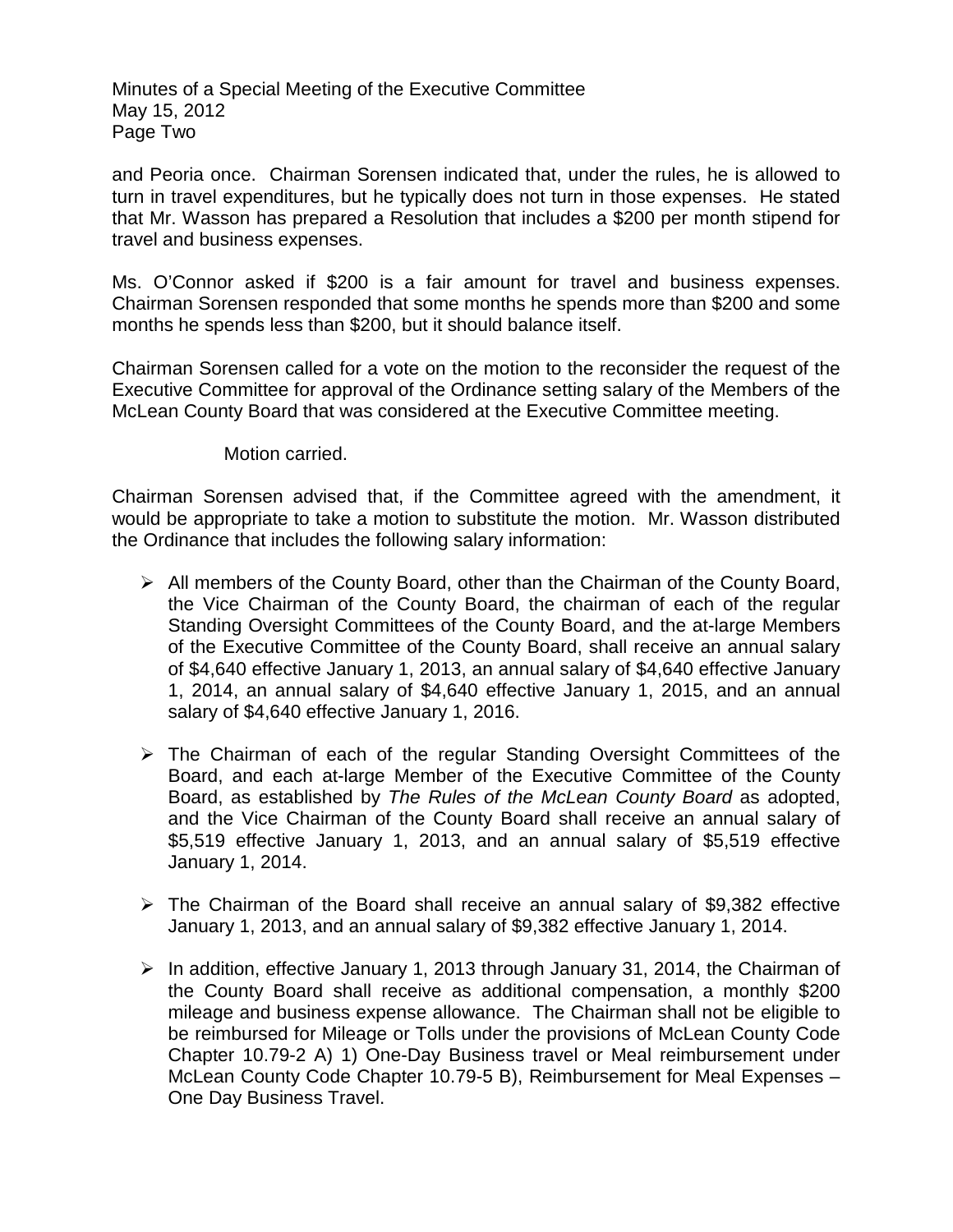Minutes of a Special Meeting of the Executive Committee May 15, 2012 Page Two

and Peoria once. Chairman Sorensen indicated that, under the rules, he is allowed to turn in travel expenditures, but he typically does not turn in those expenses. He stated that Mr. Wasson has prepared a Resolution that includes a \$200 per month stipend for travel and business expenses.

Ms. O'Connor asked if \$200 is a fair amount for travel and business expenses. Chairman Sorensen responded that some months he spends more than \$200 and some months he spends less than \$200, but it should balance itself.

Chairman Sorensen called for a vote on the motion to the reconsider the request of the Executive Committee for approval of the Ordinance setting salary of the Members of the McLean County Board that was considered at the Executive Committee meeting.

Motion carried.

Chairman Sorensen advised that, if the Committee agreed with the amendment, it would be appropriate to take a motion to substitute the motion. Mr. Wasson distributed the Ordinance that includes the following salary information:

- $\triangleright$  All members of the County Board, other than the Chairman of the County Board, the Vice Chairman of the County Board, the chairman of each of the regular Standing Oversight Committees of the County Board, and the at-large Members of the Executive Committee of the County Board, shall receive an annual salary of \$4,640 effective January 1, 2013, an annual salary of \$4,640 effective January 1, 2014, an annual salary of \$4,640 effective January 1, 2015, and an annual salary of \$4,640 effective January 1, 2016.
- The Chairman of each of the regular Standing Oversight Committees of the Board, and each at-large Member of the Executive Committee of the County Board, as established by *The Rules of the McLean County Board* as adopted, and the Vice Chairman of the County Board shall receive an annual salary of \$5,519 effective January 1, 2013, and an annual salary of \$5,519 effective January 1, 2014.
- $\triangleright$  The Chairman of the Board shall receive an annual salary of \$9,382 effective January 1, 2013, and an annual salary of \$9,382 effective January 1, 2014.
- $\triangleright$  In addition, effective January 1, 2013 through January 31, 2014, the Chairman of the County Board shall receive as additional compensation, a monthly \$200 mileage and business expense allowance. The Chairman shall not be eligible to be reimbursed for Mileage or Tolls under the provisions of McLean County Code Chapter 10.79-2 A) 1) One-Day Business travel or Meal reimbursement under McLean County Code Chapter 10.79-5 B), Reimbursement for Meal Expenses – One Day Business Travel.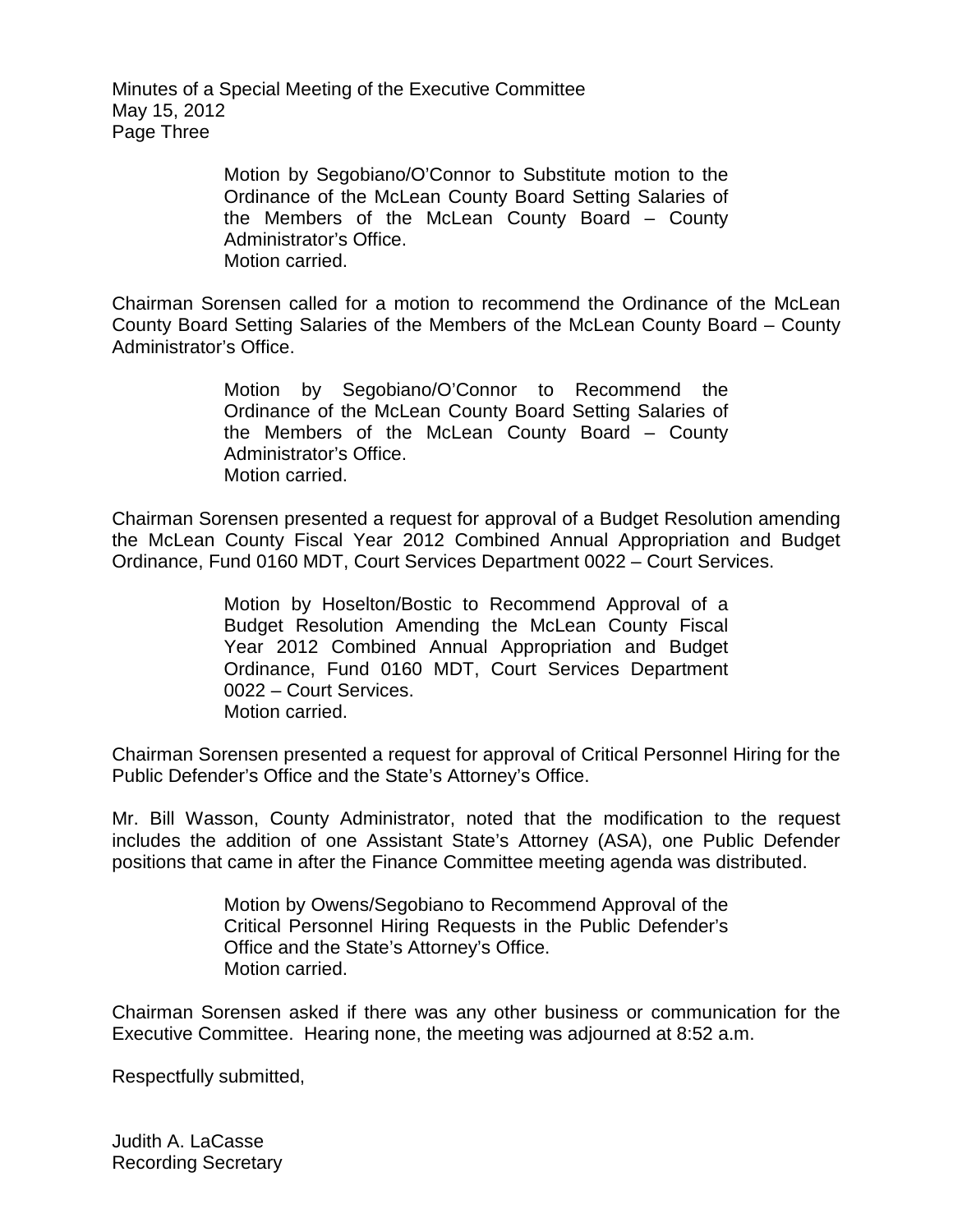Minutes of a Special Meeting of the Executive Committee May 15, 2012 Page Three

> Motion by Segobiano/O'Connor to Substitute motion to the Ordinance of the McLean County Board Setting Salaries of the Members of the McLean County Board – County Administrator's Office. Motion carried.

Chairman Sorensen called for a motion to recommend the Ordinance of the McLean County Board Setting Salaries of the Members of the McLean County Board – County Administrator's Office.

> Motion by Segobiano/O'Connor to Recommend the Ordinance of the McLean County Board Setting Salaries of the Members of the McLean County Board – County Administrator's Office. Motion carried.

Chairman Sorensen presented a request for approval of a Budget Resolution amending the McLean County Fiscal Year 2012 Combined Annual Appropriation and Budget Ordinance, Fund 0160 MDT, Court Services Department 0022 – Court Services.

> Motion by Hoselton/Bostic to Recommend Approval of a Budget Resolution Amending the McLean County Fiscal Year 2012 Combined Annual Appropriation and Budget Ordinance, Fund 0160 MDT, Court Services Department 0022 – Court Services. Motion carried.

Chairman Sorensen presented a request for approval of Critical Personnel Hiring for the Public Defender's Office and the State's Attorney's Office.

Mr. Bill Wasson, County Administrator, noted that the modification to the request includes the addition of one Assistant State's Attorney (ASA), one Public Defender positions that came in after the Finance Committee meeting agenda was distributed.

> Motion by Owens/Segobiano to Recommend Approval of the Critical Personnel Hiring Requests in the Public Defender's Office and the State's Attorney's Office. Motion carried.

Chairman Sorensen asked if there was any other business or communication for the Executive Committee. Hearing none, the meeting was adjourned at 8:52 a.m.

Respectfully submitted,

Judith A. LaCasse Recording Secretary